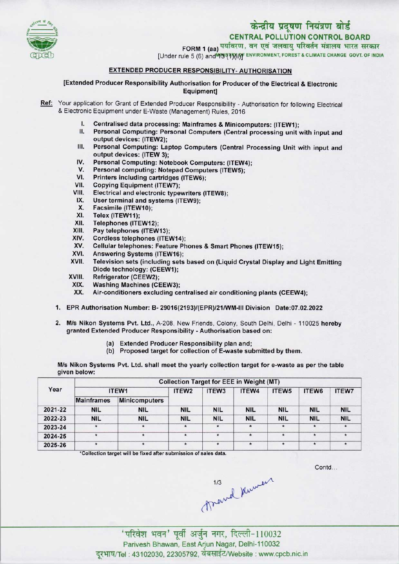

# केन्द्रीय प्रदूषण नियंत्रण बोर्ड

CENTRAL POLLUTION CONTROL BOARD

FORM 1 (aa) पर्यावरण, वन एवं जलवायु परिवर्तन मंत्रालय भारत सरकार

[Under rule 5 (6) and MIN THAN ENVIRONMENT, FOREST & CLIMATE CHANGE GOVT. OF INDIA

### EXTENDED PRODUCER RESPONSIBILITY- AUTHORISATION

[Extended Producer Responsibility Authorisation for Producer of the Electrical & Electronic Equipment]

- Ref: Your application for Grant of Extended Producer Responsibility Authorisation for following Electrical & Electronic Equipment under E-Waste (Management) Rules, 2016
	- I. Centralised data processing: Mainframes & Minicomputers: (ITEW1);<br>II. Personal Computing: Personal Computers (Central processing unit)
	- Personal Computing: Personal Computers (Central processing unit with input and output devices: (ITEW2);
	- III. Personal Computing: Laptop Computers (Central Processing Unit with input and output devices: (ITEW 3); III. Personal Computing: Laptop Computers (Central Picture<br>
	output devices: (ITEW 3);<br>
	IV. Personal Computing: Notebook Computers: (ITEW4);
	- output devices: (ITEW 3);<br>V. Personal Computing: Notebook Computers: (ITEW<br>V. Personal computing: Notepad Computers (ITEW5);
	- IV. Personal Computing: Notebook Computers: (ITEW4<br>V. Personal computing: Notepad Computers (ITEW5);<br>VI. Printers including cartridges (ITEW6);<br>VII. Copying Equipment (ITEW7);
	- VI. Printers including cartridges (ITEW6);<br>VII. Copying Equipment (ITEW7);<br>VIII. Electrical and electronic typewriters (I
	-
	- VI. Printers including cartridges (ITEW6);<br>VII. Copying Equipment (ITEW7);<br>VIII. Electrical and electronic typewriters (ITEW8);<br>IX. User terminal and eveterns (ITEW9); III. Copying Equipment (ITEW7);<br>III. Electrical and electronic typewriters<br>IX. User terminal and systems (ITEW9);<br>X. Eacsimile (ITEW10);
	- III. Electrical and electr<br>X. EUser terminal and s<br>X. Facsimile (ITEW10);<br>XI Telex (ITEW11);
	- x. User terminal a<br>X. Facsimile (ITEW<br>XI. Telex (ITEW11);<br>XII Telenhones (ITI
	-
	- X. Facsimile (ITEW10);<br>XI. Telex (ITEW11);<br>XII. Telephones (ITEW12);<br>XIII. Pav telephones (ITEW
	- XIII. Pay telephones (ITEW13);<br>XIV. Cordless telephones (ITE)
	- XIV. Cordless telephones (ITEW14);<br>XV. Cellular telephones: Feature Ph
	- XIII. Pray telephones (ITEW13);<br>KIV. Cordless telephones (ITEW14);<br>XV. Cellular telephones: Feature Phones & Smart Phones (ITEW15); XIV. Cordiess telephones (ITEW14)<br>XV. Cellular telephones: Feature P<br>XVI. Answering Systems (ITEW16);<br>XVII. Television sets (including sets)
	-
	- XVI. Answering Systems (ITEW16);<br>XVII. Television sets (including sets based on (Liquid Crystal Display and Light Emitting Diode technology: (CEEW1);
	- XVIII. Refrigerator (CEEW2);<br>XIX. Washing Machines (CI
	- XIX. Washing Machines (CEEW3);<br>XX. Air-conditioners excluding ce
	- Air-conditioners excluding centralised air conditioning plants (CEEW4);
	- 1.EPR Authorisation Number: B- 29016(2193)/(EPR)/21/WM-lll Division Date:07.02.2022
	- 2.M/s Nikon Systems Pvt. Ltd., A-208, New Friends, Colony, South Delhi, Delhi <sup>110025</sup> hereby granted Extended Producer Responsibility - Authorisation based on:
		- (a) Extended Producer Responsibility plan and;
		- (b) Proposed target for collection of E-waste submitted by them.

M/s Nikon Systems Pvt. Ltd. shall meet the yearly collection target for e-waste as per the table given below:

| Year    | <b>Collection Target for EEE in Weight (MT)</b> |               |                   |                   |            |            |            |              |  |  |
|---------|-------------------------------------------------|---------------|-------------------|-------------------|------------|------------|------------|--------------|--|--|
|         | ITEW1                                           |               | ITEW <sub>2</sub> | ITEW <sub>3</sub> | ITEW4      | ITEW5      | ITEW6      | <b>ITEW7</b> |  |  |
|         | <b>Mainframes</b>                               | Minicomputers |                   |                   |            |            |            |              |  |  |
| 2021-22 | <b>NIL</b>                                      | <b>NIL</b>    | <b>NIL</b>        | <b>NIL</b>        | <b>NIL</b> | <b>NIL</b> | <b>NIL</b> | <b>NIL</b>   |  |  |
| 2022-23 | <b>NIL</b>                                      | <b>NIL</b>    | <b>NIL</b>        | <b>NIL</b>        | <b>NIL</b> | <b>NIL</b> | <b>NIL</b> | <b>NIL</b>   |  |  |
| 2023-24 | $\star$                                         | $\star$       | $\star$           | $\star$           | $\star$    | *          | $\star$    | *            |  |  |
| 2024-25 |                                                 | $\star$       | $\star$           |                   | $\star$    | $\star$    | $\star$    |              |  |  |
| 2025-26 |                                                 | $\star$       | $\star$           |                   | $\star$    | $\star$    | $\star$    |              |  |  |

'Collection target will be fixed after submission of sales data.

Contd...

 $\gamma$ 1/3<br>
Arevel Kuweek<br>
'परिवेश भवन' पूर्वी अर्जुन नगर, दिल्ली-110032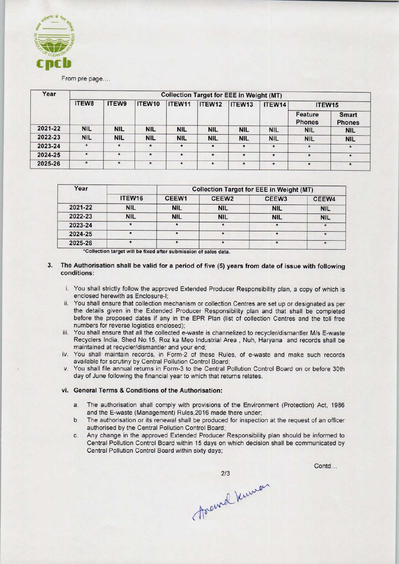

## From pre page....

| Year    | <b>Collection Target for EEE in Weight (MT)</b> |              |                    |            |            |            |            |                          |                        |  |
|---------|-------------------------------------------------|--------------|--------------------|------------|------------|------------|------------|--------------------------|------------------------|--|
|         | <b>ITEW8</b>                                    | <b>ITEW9</b> | ITEW <sub>10</sub> | ITEW11     | ITEW12     | ITEW13     | ITEW14     | ITEW15                   |                        |  |
|         |                                                 |              |                    |            |            |            |            | Feature<br><b>Phones</b> | Smart<br><b>Phones</b> |  |
| 2021-22 | <b>NIL</b>                                      | <b>NIL</b>   | <b>NIL</b>         | <b>NIL</b> | <b>NIL</b> | <b>NIL</b> | <b>NIL</b> | <b>NIL</b>               | <b>NIL</b>             |  |
| 2022-23 | <b>NIL</b>                                      | <b>NIL</b>   | <b>NIL</b>         | <b>NIL</b> | <b>NIL</b> | <b>NIL</b> | <b>NIL</b> | <b>NIL</b>               | <b>NIL</b>             |  |
| 2023-24 | $\star$                                         | $\star$      | $\star$            | $\star$    | $\star$    | $\star$    | $\star$    | $\star$                  | $\star$                |  |
| 2024-25 | $\star$                                         | $\star$      | $\star$            | $\star$    | $\star$    | $\star$    | $\star$    | $\star$                  | 倉                      |  |
| 2025-26 | $\star$                                         | $\star$      | $\star$            | $\star$    | $\star$    | $\star$    | $\star$    | $\star$                  | $\star$                |  |

| Year    |            | <b>Collection Target for EEE in Weight (MT)</b> |                         |                   |            |  |  |
|---------|------------|-------------------------------------------------|-------------------------|-------------------|------------|--|--|
|         | ITEW16     | CEEW <sub>1</sub>                               | CEEW <sub>2</sub>       | CEEW <sub>3</sub> | CEEW4      |  |  |
| 2021-22 | <b>NIL</b> | <b>NIL</b>                                      | <b>NIL</b>              | <b>NIL</b>        | <b>NIL</b> |  |  |
| 2022-23 | <b>NIL</b> | <b>NIL</b>                                      | <b>NIL</b>              | <b>NIL</b>        | <b>NIL</b> |  |  |
| 2023-24 |            |                                                 |                         |                   |            |  |  |
| 2024-25 |            |                                                 | $\overline{\mathbf{r}}$ |                   |            |  |  |
| 2025-26 |            |                                                 |                         |                   |            |  |  |

\*Collection target will be fixed after submission of sales data.

#### 3. The Authorisation shall be valid for a period of five (5) years from date of issue with following conditions:

- i. You shall strictly follow the approved Extended Producer Responsibility plan, a copy of which is enclosed herewith as Enclosure-I;
- ii. You shall ensure that collection mechanism or collection Centres are set up or designated as per the details given in the Extended Producer Responsibility plan and that shall be completed before the proposed dates if any in the EPR Plan (list of collection Centres and the toll free numbers for reverse logistics enclosed);
- iii. You shall ensure that all the collected e-waste is channelized to recycler/dismantler M/s E-waste Recyclers India, Shed No.15, Roz ka Meo Industrial Area , Nuh, Haryana and records shall be maintained at recycler/dismantler and your end;
- iv. You shall maintain records, in Form-2 of these Rules, of e-waste and make such records available for scrutiny by Central Pollution Control Board;
- v. You shall file annual returns in Form-3 to the Central Pollution Control Board on or before 30th day of June following the financial year to which that returns relates.

#### vi. General Terms & Conditions of the Authorisation:

- a.The authorisation shall comply with provisions of the Environment (Protection) Act, <sup>1986</sup> and the E-waste (Management) Rules,2016 made there under;
- b.The authorisation or its renewal shall be produced for inspection at the request of an officer authorised by the Central Pollution Control Board;
- c.Any change in the approved Extended Producer Responsibility plan should be informed to Central Pollution Control Board within 15 days on which decision shall be communicated by Central Pollution Control Board within sixty days;

Contd...

213<br>forevered Kurmon